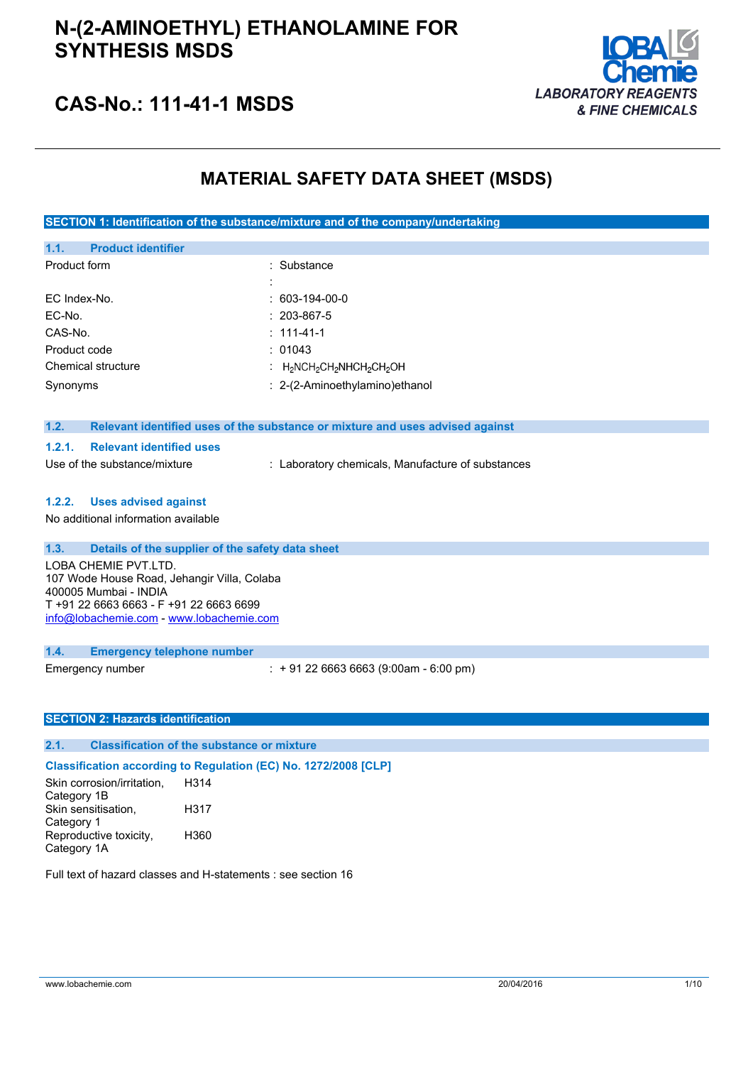

### **CAS-No.: 111-41-1 MSDS**

### **MATERIAL SAFETY DATA SHEET (MSDS)**

**SECTION 1: Identification of the substance/mixture and of the company/undertaking**

| <b>Product identifier</b><br>1.1.                                             |                                     |
|-------------------------------------------------------------------------------|-------------------------------------|
| Product form                                                                  | : Substance                         |
|                                                                               | $\cdot$<br>$\overline{\phantom{a}}$ |
| EC Index-No.                                                                  | $: 603-194-00-0$                    |
| EC-No.                                                                        | $: 203 - 867 - 5$                   |
| CAS-No.                                                                       | $: 111 - 41 - 1$                    |
| Product code                                                                  | : 01043                             |
| Chemical structure                                                            | : $H_2NCH_2CH_2NHCH_2CH_2OH$        |
| Synonyms                                                                      | : 2-(2-Aminoethylamino) ethanol     |
|                                                                               |                                     |
| 1.2.                                                                          |                                     |
| Relevant identified uses of the substance or mixture and uses advised against |                                     |

### **1.2.1. Relevant identified uses**

Use of the substance/mixture : Laboratory chemicals, Manufacture of substances

#### **1.2.2. Uses advised against**

No additional information available

### **1.3. Details of the supplier of the safety data sheet**

LOBA CHEMIE PVT.LTD. 107 Wode House Road, Jehangir Villa, Colaba 400005 Mumbai - INDIA T +91 22 6663 6663 - F +91 22 6663 6699 [info@lobachemie.com](mailto:info@lobachemie.com) - <www.lobachemie.com>

#### **1.4. Emergency telephone number**

Emergency number : + 91 22 6663 6663 (9:00am - 6:00 pm)

### **SECTION 2: Hazards identification**

### **2.1. Classification of the substance or mixture**

**Classification according to Regulation (EC) No. 1272/2008 [CLP]**

Skin corrosion/irritation, Category 1B H314 Skin sensitisation, Category 1 H317 Reproductive toxicity, Category 1A H360

Full text of hazard classes and H-statements : see section 16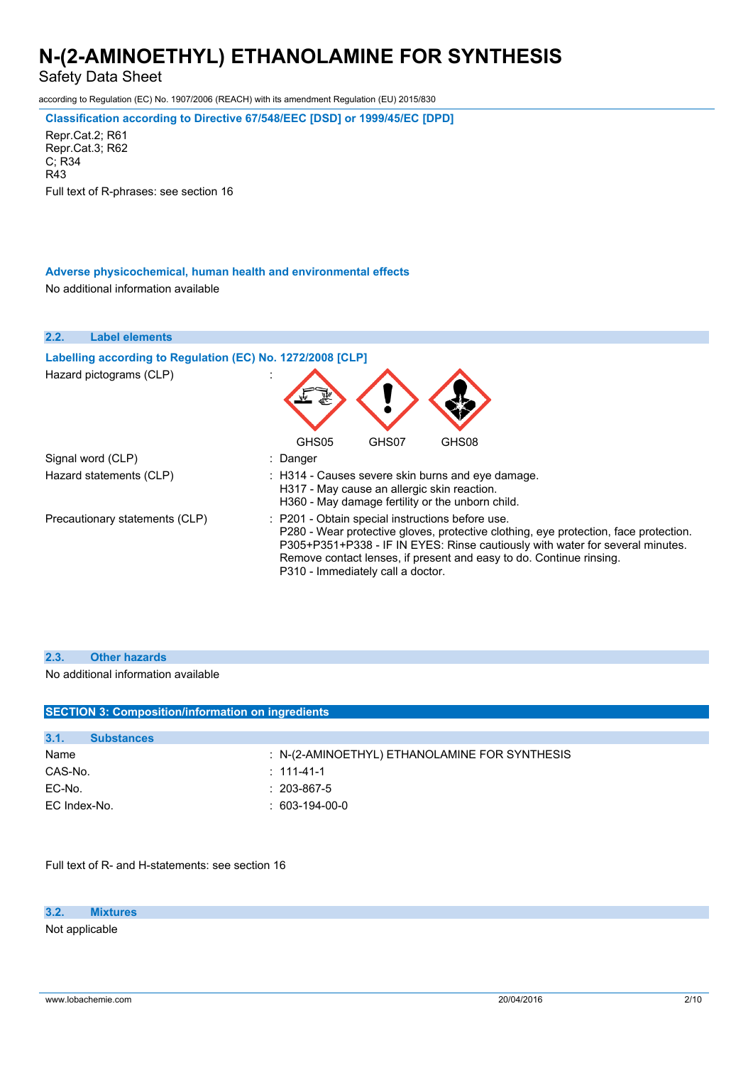Safety Data Sheet

according to Regulation (EC) No. 1907/2006 (REACH) with its amendment Regulation (EU) 2015/830

**Classification according to Directive 67/548/EEC [DSD] or 1999/45/EC [DPD]**

Repr.Cat.2; R61 Repr.Cat.3; R62 C; R34 R43 Full text of R-phrases: see section 16

### **Adverse physicochemical, human health and environmental effects**

No additional information available

**2.2. Label elements Labelling according to Regulation** (EC) **No. 1272/2008** [CLP] Hazard pictograms (CLP) : GHS05 GHS07 GHS08 Signal word (CLP)  $\qquad \qquad$ : Danger Hazard statements (CLP) : H314 - Causes severe skin burns and eye damage. H317 - May cause an allergic skin reaction. H360 - May damage fertility or the unborn child. Precautionary statements (CLP) : P201 - Obtain special instructions before use. P280 - Wear protective gloves, protective clothing, eye protection, face protection. P305+P351+P338 - IF IN EYES: Rinse cautiously with water for several minutes. Remove contact lenses, if present and easy to do. Continue rinsing. P310 - Immediately call a doctor.

#### **2.3. Other hazards**

No additional information available

| <b>SECTION 3: Composition/information on ingredients</b> |                                                 |  |  |
|----------------------------------------------------------|-------------------------------------------------|--|--|
|                                                          |                                                 |  |  |
| 3.1.<br><b>Substances</b>                                |                                                 |  |  |
| Name                                                     | $: N-(2-AMINOETHYL)$ ETHANOLAMINE FOR SYNTHESIS |  |  |
| CAS-No.                                                  | $: 111 - 41 - 1$                                |  |  |
| EC-No.                                                   | $: 203 - 867 - 5$                               |  |  |
| EC Index-No.                                             | $: 603-194-00-0$                                |  |  |
|                                                          |                                                 |  |  |

Full text of R- and H-statements: see section 16

**3.2. Mixtures**

Not applicable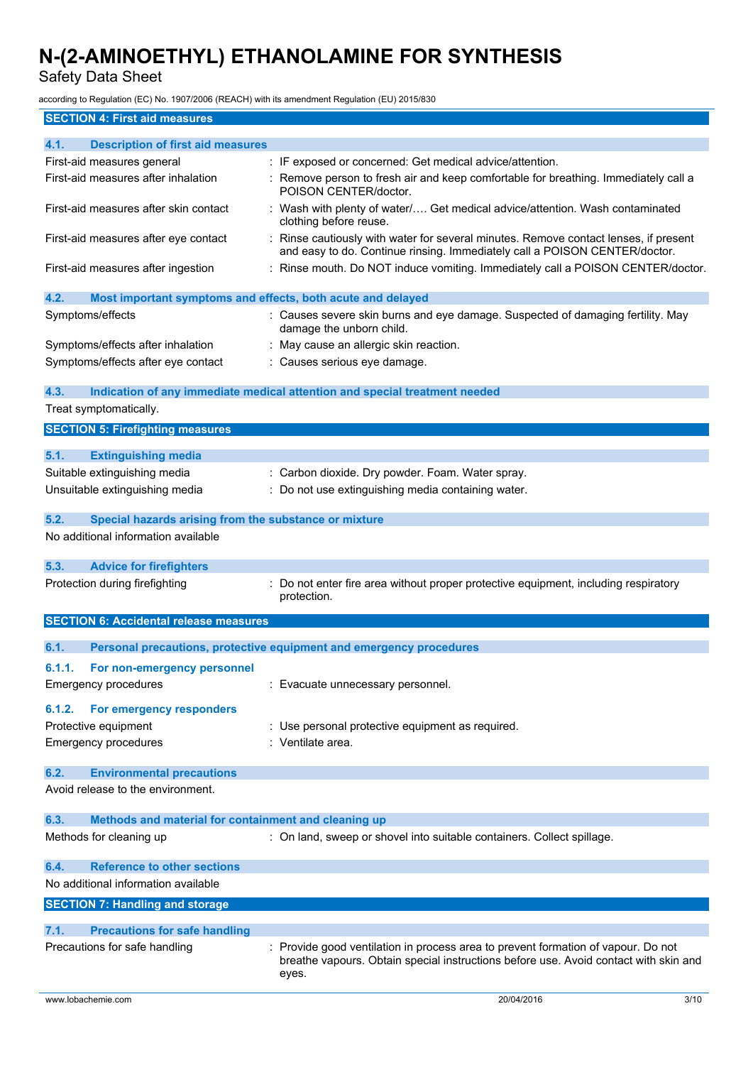Safety Data Sheet

according to Regulation (EC) No. 1907/2006 (REACH) with its amendment Regulation (EU) 2015/830

| <b>SECTION 4: First aid measures</b> |  |
|--------------------------------------|--|

| 4.1.   | <b>Description of first aid measures</b>                          |                                                                                                                                                                                    |      |
|--------|-------------------------------------------------------------------|------------------------------------------------------------------------------------------------------------------------------------------------------------------------------------|------|
|        | First-aid measures general<br>First-aid measures after inhalation | : IF exposed or concerned: Get medical advice/attention.                                                                                                                           |      |
|        |                                                                   | Remove person to fresh air and keep comfortable for breathing. Immediately call a<br>POISON CENTER/doctor.                                                                         |      |
|        | First-aid measures after skin contact                             | : Wash with plenty of water/ Get medical advice/attention. Wash contaminated<br>clothing before reuse.                                                                             |      |
|        | First-aid measures after eye contact                              | Rinse cautiously with water for several minutes. Remove contact lenses, if present<br>and easy to do. Continue rinsing. Immediately call a POISON CENTER/doctor.                   |      |
|        | First-aid measures after ingestion                                | Rinse mouth. Do NOT induce vomiting. Immediately call a POISON CENTER/doctor.                                                                                                      |      |
| 4.2.   | Most important symptoms and effects, both acute and delayed       |                                                                                                                                                                                    |      |
|        | Symptoms/effects                                                  | : Causes severe skin burns and eye damage. Suspected of damaging fertility. May<br>damage the unborn child.                                                                        |      |
|        | Symptoms/effects after inhalation                                 | May cause an allergic skin reaction.                                                                                                                                               |      |
|        | Symptoms/effects after eye contact                                | : Causes serious eye damage.                                                                                                                                                       |      |
| 4.3.   |                                                                   | Indication of any immediate medical attention and special treatment needed                                                                                                         |      |
|        | Treat symptomatically.                                            |                                                                                                                                                                                    |      |
|        | <b>SECTION 5: Firefighting measures</b>                           |                                                                                                                                                                                    |      |
| 5.1.   | <b>Extinguishing media</b>                                        |                                                                                                                                                                                    |      |
|        | Suitable extinguishing media                                      | : Carbon dioxide. Dry powder. Foam. Water spray.                                                                                                                                   |      |
|        | Unsuitable extinguishing media                                    | Do not use extinguishing media containing water.                                                                                                                                   |      |
| 5.2.   | Special hazards arising from the substance or mixture             |                                                                                                                                                                                    |      |
|        | No additional information available                               |                                                                                                                                                                                    |      |
| 5.3.   | <b>Advice for firefighters</b>                                    |                                                                                                                                                                                    |      |
|        | Protection during firefighting                                    | Do not enter fire area without proper protective equipment, including respiratory<br>protection.                                                                                   |      |
|        | <b>SECTION 6: Accidental release measures</b>                     |                                                                                                                                                                                    |      |
| 6.1.   |                                                                   | Personal precautions, protective equipment and emergency procedures                                                                                                                |      |
| 6.1.1. | For non-emergency personnel                                       |                                                                                                                                                                                    |      |
|        | <b>Emergency procedures</b>                                       | : Evacuate unnecessary personnel.                                                                                                                                                  |      |
| 6.1.2. | For emergency responders                                          |                                                                                                                                                                                    |      |
|        | Protective equipment                                              | : Use personal protective equipment as required.                                                                                                                                   |      |
|        | <b>Emergency procedures</b>                                       | : Ventilate area.                                                                                                                                                                  |      |
| 6.2.   | <b>Environmental precautions</b>                                  |                                                                                                                                                                                    |      |
|        | Avoid release to the environment.                                 |                                                                                                                                                                                    |      |
| 6.3.   | Methods and material for containment and cleaning up              |                                                                                                                                                                                    |      |
|        | Methods for cleaning up                                           | : On land, sweep or shovel into suitable containers. Collect spillage.                                                                                                             |      |
| 6.4.   | <b>Reference to other sections</b>                                |                                                                                                                                                                                    |      |
|        | No additional information available                               |                                                                                                                                                                                    |      |
|        | <b>SECTION 7: Handling and storage</b>                            |                                                                                                                                                                                    |      |
| 7.1.   | <b>Precautions for safe handling</b>                              |                                                                                                                                                                                    |      |
|        | Precautions for safe handling                                     | : Provide good ventilation in process area to prevent formation of vapour. Do not<br>breathe vapours. Obtain special instructions before use. Avoid contact with skin and<br>eyes. |      |
|        | www.lobachemie.com                                                | 20/04/2016                                                                                                                                                                         | 3/10 |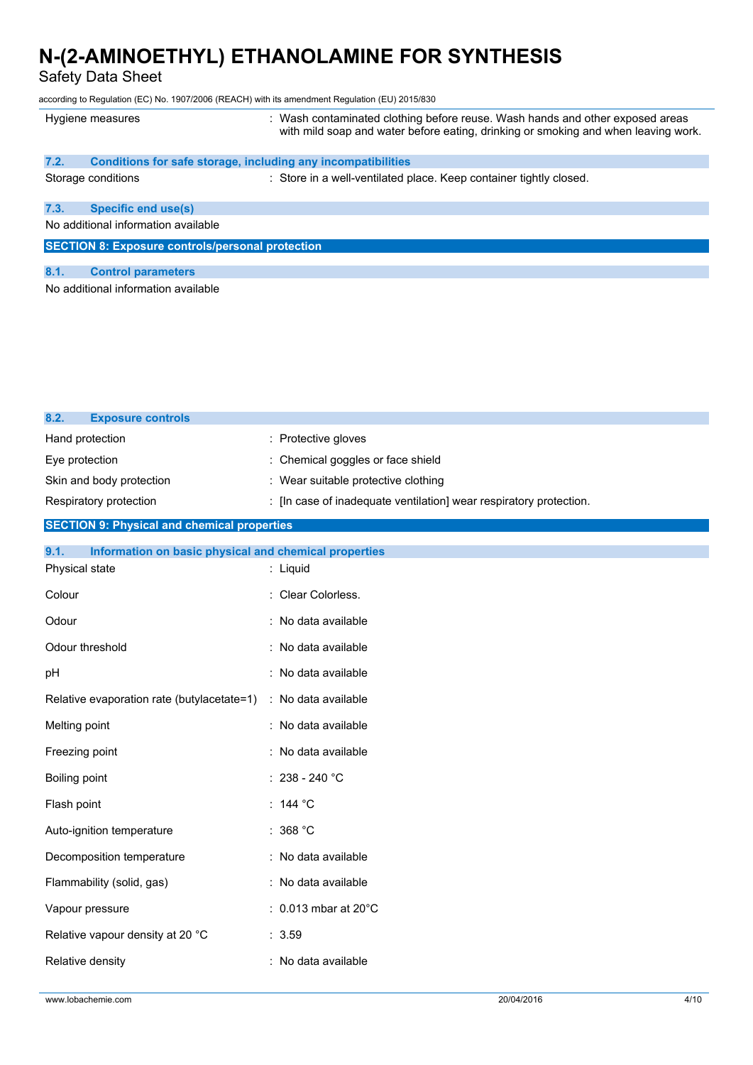Safety Data Sheet

according to Regulation (EC) No. 1907/2006 (REACH) with its amendment Regulation (EU) 2015/830

|                                                         | Hygiene measures                                             | : Wash contaminated clothing before reuse. Wash hands and other exposed areas<br>with mild soap and water before eating, drinking or smoking and when leaving work. |
|---------------------------------------------------------|--------------------------------------------------------------|---------------------------------------------------------------------------------------------------------------------------------------------------------------------|
| 7.2.                                                    | Conditions for safe storage, including any incompatibilities |                                                                                                                                                                     |
|                                                         | Storage conditions                                           | : Store in a well-ventilated place. Keep container tightly closed.                                                                                                  |
| 7.3.                                                    | <b>Specific end use(s)</b>                                   |                                                                                                                                                                     |
|                                                         | No additional information available                          |                                                                                                                                                                     |
| <b>SECTION 8: Exposure controls/personal protection</b> |                                                              |                                                                                                                                                                     |
|                                                         |                                                              |                                                                                                                                                                     |
| 8.1.                                                    | <b>Control parameters</b>                                    |                                                                                                                                                                     |
|                                                         | No additional information available                          |                                                                                                                                                                     |

| 8.2.<br><b>Exposure controls</b> |                                                                    |
|----------------------------------|--------------------------------------------------------------------|
| Hand protection                  | : Protective gloves                                                |
| Eye protection                   | : Chemical goggles or face shield                                  |
| Skin and body protection         | : Wear suitable protective clothing                                |
| Respiratory protection           | : [In case of inadequate ventilation] wear respiratory protection. |

### **SECTION 9: Physical and chemical properties**

| Information on basic physical and chemical properties<br>9.1.  |                                   |
|----------------------------------------------------------------|-----------------------------------|
| Physical state                                                 | : Liquid                          |
| Colour                                                         | : Clear Colorless.                |
| Odour                                                          | : No data available               |
| Odour threshold                                                | : No data available               |
| pH                                                             | : No data available               |
| Relative evaporation rate (butylacetate=1) : No data available |                                   |
| Melting point                                                  | : No data available               |
| Freezing point                                                 | : No data available               |
| Boiling point                                                  | $: 238 - 240 °C$                  |
| Flash point                                                    | : 144 $^{\circ}$ C                |
| Auto-ignition temperature                                      | : 368 °C                          |
| Decomposition temperature                                      | : No data available               |
| Flammability (solid, gas)                                      | : No data available               |
| Vapour pressure                                                | $: 0.013$ mbar at 20 $^{\circ}$ C |
| Relative vapour density at 20 °C                               | : 3.59                            |
| Relative density                                               | : No data available               |
|                                                                |                                   |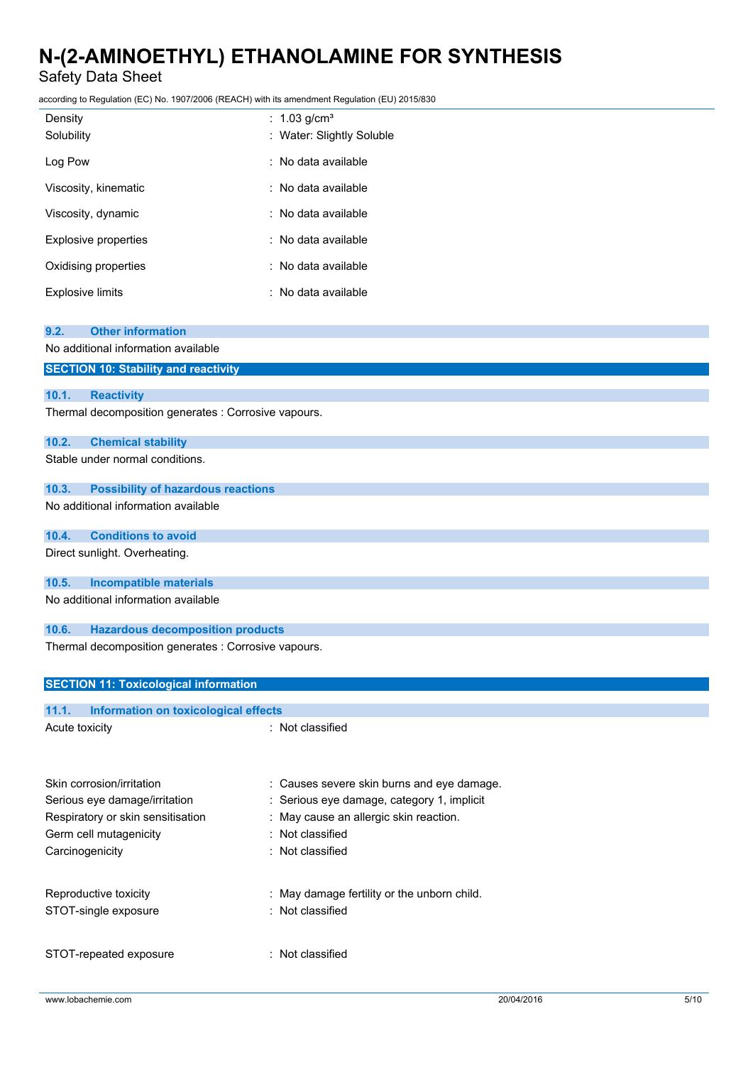Safety Data Sheet

according to Regulation (EC) No. 1907/2006 (REACH) with its amendment Regulation (EU) 2015/830

| Density                 | : $1.03$ g/cm <sup>3</sup> |
|-------------------------|----------------------------|
| Solubility              | : Water: Slightly Soluble  |
| Log Pow                 | : No data available        |
| Viscosity, kinematic    | : No data available        |
| Viscosity, dynamic      | : No data available        |
| Explosive properties    | : No data available        |
| Oxidising properties    | : No data available        |
| <b>Explosive limits</b> | : No data available        |

| 9.2.<br><b>Other information</b><br>No additional information available<br><b>SECTION 10: Stability and reactivity</b><br>10.1.<br><b>Reactivity</b><br>Thermal decomposition generates : Corrosive vapours.<br>10.2.<br><b>Chemical stability</b><br>Stable under normal conditions.<br>10.3.<br><b>Possibility of hazardous reactions</b> |  |  |  |
|---------------------------------------------------------------------------------------------------------------------------------------------------------------------------------------------------------------------------------------------------------------------------------------------------------------------------------------------|--|--|--|
|                                                                                                                                                                                                                                                                                                                                             |  |  |  |
|                                                                                                                                                                                                                                                                                                                                             |  |  |  |
|                                                                                                                                                                                                                                                                                                                                             |  |  |  |
|                                                                                                                                                                                                                                                                                                                                             |  |  |  |
|                                                                                                                                                                                                                                                                                                                                             |  |  |  |
|                                                                                                                                                                                                                                                                                                                                             |  |  |  |
|                                                                                                                                                                                                                                                                                                                                             |  |  |  |
|                                                                                                                                                                                                                                                                                                                                             |  |  |  |
|                                                                                                                                                                                                                                                                                                                                             |  |  |  |
| No additional information available                                                                                                                                                                                                                                                                                                         |  |  |  |
| <b>Conditions to avoid</b><br>10.4.                                                                                                                                                                                                                                                                                                         |  |  |  |
| Direct sunlight. Overheating.                                                                                                                                                                                                                                                                                                               |  |  |  |
| <b>Incompatible materials</b><br>10.5.                                                                                                                                                                                                                                                                                                      |  |  |  |
| No additional information available                                                                                                                                                                                                                                                                                                         |  |  |  |
| 10.6.<br><b>Hazardous decomposition products</b>                                                                                                                                                                                                                                                                                            |  |  |  |
| Thermal decomposition generates : Corrosive vapours.                                                                                                                                                                                                                                                                                        |  |  |  |
| <b>SECTION 11: Toxicological information</b>                                                                                                                                                                                                                                                                                                |  |  |  |

: Causes severe skin burns and eye damage. : Serious eye damage, category 1, implicit

### **11.1. Information on toxicological effects**

| Acute toxicity                    | : Not classified |
|-----------------------------------|------------------|
| Skin corrosion/irritation         | : Causes sever   |
| Serious eye damage/irritation     | : Serious eye d  |
| Respiratory or skin sensitisation | : May cause ar   |

| Respiratory or skin sensitisation | : May cause an allergic skin reaction.      |
|-----------------------------------|---------------------------------------------|
| Germ cell mutagenicity            | : Not classified                            |
| Carcinogenicity                   | : Not classified                            |
| Reproductive toxicity             | : May damage fertility or the unborn child. |
| STOT-single exposure              | : Not classified                            |
| STOT-repeated exposure            | : Not classified                            |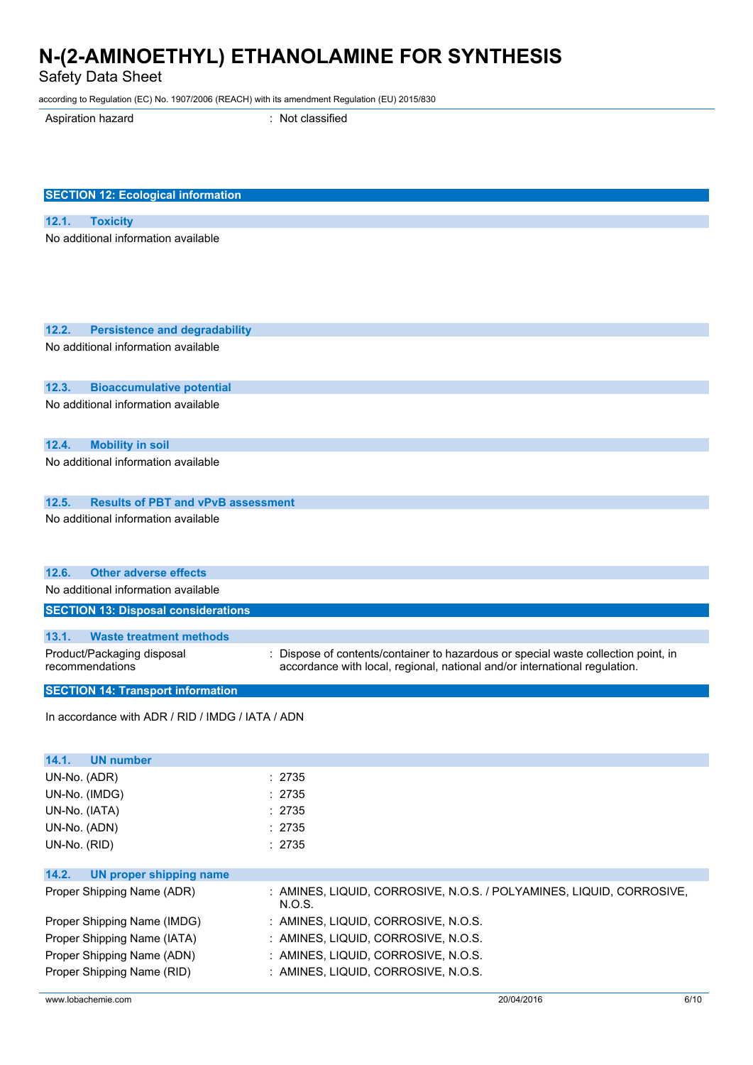Safety Data Sheet

according to Regulation (EC) No. 1907/2006 (REACH) with its amendment Regulation (EU) 2015/830

Aspiration hazard : Not classified

| <b>SECTION 12: Ecological information</b>          |                                                                                    |  |  |  |
|----------------------------------------------------|------------------------------------------------------------------------------------|--|--|--|
|                                                    |                                                                                    |  |  |  |
| 12.1.<br><b>Toxicity</b>                           |                                                                                    |  |  |  |
| No additional information available                |                                                                                    |  |  |  |
| 12.2.<br><b>Persistence and degradability</b>      |                                                                                    |  |  |  |
| No additional information available                |                                                                                    |  |  |  |
|                                                    |                                                                                    |  |  |  |
| 12.3.<br><b>Bioaccumulative potential</b>          |                                                                                    |  |  |  |
| No additional information available                |                                                                                    |  |  |  |
| 12.4.<br><b>Mobility in soil</b>                   |                                                                                    |  |  |  |
| No additional information available                |                                                                                    |  |  |  |
| 12.5.<br><b>Results of PBT and vPvB assessment</b> |                                                                                    |  |  |  |
| No additional information available                |                                                                                    |  |  |  |
| 12.6.<br><b>Other adverse effects</b>              |                                                                                    |  |  |  |
| No additional information available                |                                                                                    |  |  |  |
| <b>SECTION 13: Disposal considerations</b>         |                                                                                    |  |  |  |
| 13.1.<br><b>Waste treatment methods</b>            |                                                                                    |  |  |  |
| Product/Packaging disposal                         | : Dispose of contents/container to hazardous or special waste collection point, in |  |  |  |
| recommendations                                    | accordance with local, regional, national and/or international regulation.         |  |  |  |
| <b>SECTION 14: Transport information</b>           |                                                                                    |  |  |  |
| In accordance with ADR / RID / IMDG / IATA / ADN   |                                                                                    |  |  |  |
| <b>UN number</b><br>14.1.                          |                                                                                    |  |  |  |
| UN-No. (ADR)                                       | : 2735                                                                             |  |  |  |
| UN-No. (IMDG)                                      | : 2735                                                                             |  |  |  |
| UN-No. (IATA)                                      | : 2735                                                                             |  |  |  |
| UN-No. (ADN)                                       | : 2735                                                                             |  |  |  |
| UN-No. (RID)                                       | : 2735                                                                             |  |  |  |
| 14.2.<br><b>UN proper shipping name</b>            |                                                                                    |  |  |  |
| Proper Shipping Name (ADR)                         | : AMINES, LIQUID, CORROSIVE, N.O.S. / POLYAMINES, LIQUID, CORROSIVE,<br>N.O.S.     |  |  |  |
| Proper Shipping Name (IMDG)                        | : AMINES, LIQUID, CORROSIVE, N.O.S.                                                |  |  |  |
| Proper Shipping Name (IATA)                        | : AMINES, LIQUID, CORROSIVE, N.O.S.                                                |  |  |  |
| Proper Shipping Name (ADN)                         | : AMINES, LIQUID, CORROSIVE, N.O.S.                                                |  |  |  |
| Proper Shipping Name (RID)                         | : AMINES, LIQUID, CORROSIVE, N.O.S.                                                |  |  |  |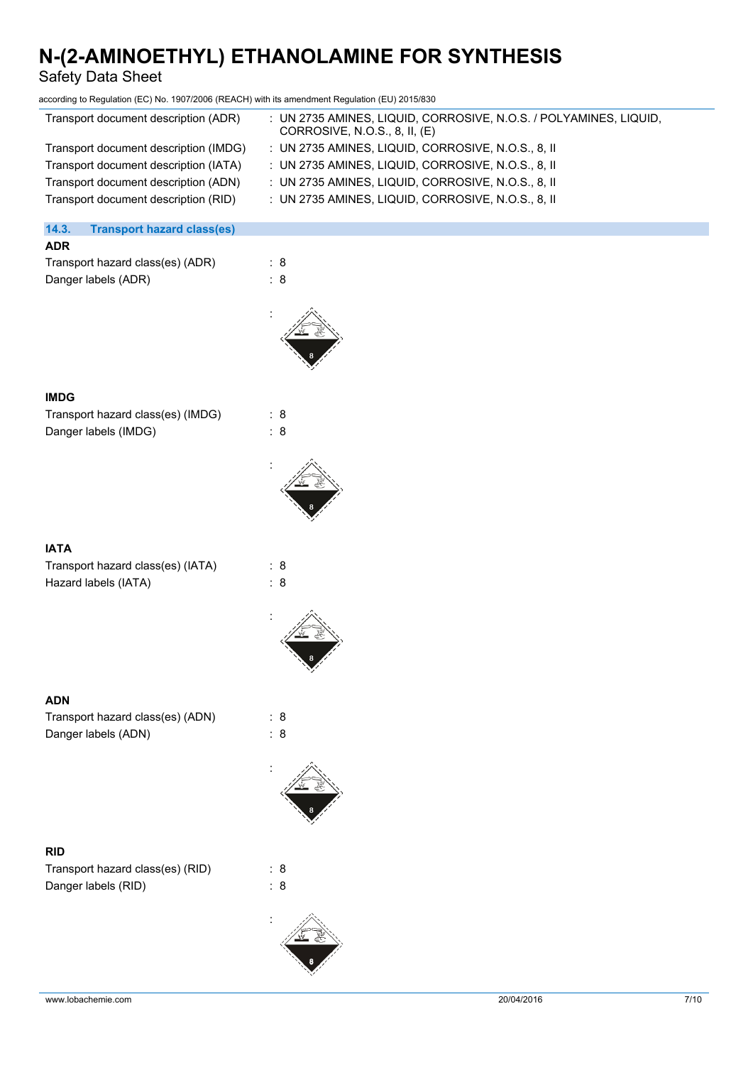| <b>Safety Data Sheet</b>                                                                                                                                                                               |                                                                                                                                                                                                                                                                                                                            |
|--------------------------------------------------------------------------------------------------------------------------------------------------------------------------------------------------------|----------------------------------------------------------------------------------------------------------------------------------------------------------------------------------------------------------------------------------------------------------------------------------------------------------------------------|
| according to Regulation (EC) No. 1907/2006 (REACH) with its amendment Regulation (EU) 2015/830                                                                                                         |                                                                                                                                                                                                                                                                                                                            |
| Transport document description (ADR)<br>Transport document description (IMDG)<br>Transport document description (IATA)<br>Transport document description (ADN)<br>Transport document description (RID) | : UN 2735 AMINES, LIQUID, CORROSIVE, N.O.S. / POLYAMINES, LIQUID,<br>CORROSIVE, N.O.S., 8, II, (E)<br>: UN 2735 AMINES, LIQUID, CORROSIVE, N.O.S., 8, II<br>: UN 2735 AMINES, LIQUID, CORROSIVE, N.O.S., 8, II<br>: UN 2735 AMINES, LIQUID, CORROSIVE, N.O.S., 8, II<br>: UN 2735 AMINES, LIQUID, CORROSIVE, N.O.S., 8, II |
| 14.3.<br><b>Transport hazard class(es)</b>                                                                                                                                                             |                                                                                                                                                                                                                                                                                                                            |
| <b>ADR</b>                                                                                                                                                                                             |                                                                                                                                                                                                                                                                                                                            |
| Transport hazard class(es) (ADR)<br>Danger labels (ADR)                                                                                                                                                | : 8<br>: 8                                                                                                                                                                                                                                                                                                                 |
| <b>IMDG</b>                                                                                                                                                                                            |                                                                                                                                                                                                                                                                                                                            |
| Transport hazard class(es) (IMDG)                                                                                                                                                                      | : 8                                                                                                                                                                                                                                                                                                                        |
| Danger labels (IMDG)                                                                                                                                                                                   | : 8                                                                                                                                                                                                                                                                                                                        |
|                                                                                                                                                                                                        |                                                                                                                                                                                                                                                                                                                            |
| <b>IATA</b>                                                                                                                                                                                            |                                                                                                                                                                                                                                                                                                                            |
| Transport hazard class(es) (IATA)<br>Hazard labels (IATA)                                                                                                                                              | : 8<br>: 8                                                                                                                                                                                                                                                                                                                 |
|                                                                                                                                                                                                        |                                                                                                                                                                                                                                                                                                                            |
| <b>ADN</b>                                                                                                                                                                                             |                                                                                                                                                                                                                                                                                                                            |
| Transport hazard class(es) (ADN)<br>Danger labels (ADN)                                                                                                                                                | : 8<br>$\colon 8$                                                                                                                                                                                                                                                                                                          |
|                                                                                                                                                                                                        |                                                                                                                                                                                                                                                                                                                            |
| <b>RID</b>                                                                                                                                                                                             |                                                                                                                                                                                                                                                                                                                            |
| Transport hazard class(es) (RID)                                                                                                                                                                       | : 8                                                                                                                                                                                                                                                                                                                        |
| Danger labels (RID)                                                                                                                                                                                    | : 8                                                                                                                                                                                                                                                                                                                        |

: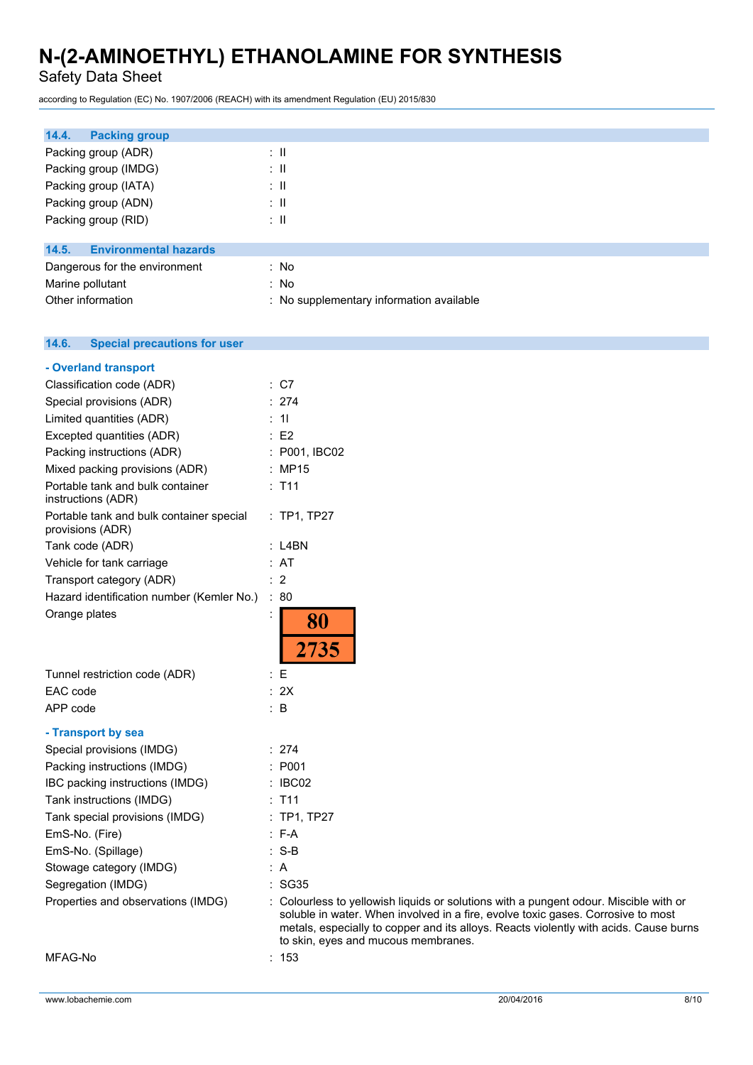Safety Data Sheet

according to Regulation (EC) No. 1907/2006 (REACH) with its amendment Regulation (EU) 2015/830

| 14.4.<br><b>Packing group</b>         |                                          |
|---------------------------------------|------------------------------------------|
| Packing group (ADR)                   | ÷Ш                                       |
| Packing group (IMDG)                  | ÷Ш                                       |
| Packing group (IATA)                  | ÷Ш                                       |
| Packing group (ADN)                   | ÷Ш                                       |
| Packing group (RID)                   | ÷Ш                                       |
| <b>Environmental hazards</b><br>14.5. |                                          |
| Dangerous for the environment         | : No                                     |
| Marine pollutant                      | : No                                     |
| Other information                     | : No supplementary information available |
|                                       |                                          |
|                                       |                                          |

#### $14.6.$ **14.6. Special precautions for user**

| - Overland transport                                         |                                      |
|--------------------------------------------------------------|--------------------------------------|
| Classification code (ADR)                                    | : C7                                 |
| Special provisions (ADR)                                     | : 274                                |
| Limited quantities (ADR)                                     | : 11                                 |
| Excepted quantities (ADR)                                    | E2                                   |
| Packing instructions (ADR)                                   | : P001, IBC02                        |
| Mixed packing provisions (ADR)                               | : MP15                               |
| Portable tank and bulk container<br>instructions (ADR)       | : T11                                |
| Portable tank and bulk container special<br>provisions (ADR) | : TP1, TP27                          |
| Tank code (ADR)                                              | : L4BN                               |
| Vehicle for tank carriage                                    | : AT                                 |
| Transport category (ADR)                                     | : 2                                  |
| Hazard identification number (Kemler No.)                    | : 80                                 |
| Orange plates                                                | 80<br>2735                           |
| Tunnel restriction code (ADR)                                | : E                                  |
| EAC code                                                     | : 2X                                 |
| APP code                                                     | : B                                  |
| - Transport by sea                                           |                                      |
| Special provisions (IMDG)                                    | : 274                                |
| Packing instructions (IMDG)                                  | : P <sub>001</sub>                   |
| IBC packing instructions (IMDG)                              | : IBC02                              |
| Tank instructions (IMDG)                                     | : T11                                |
| Tank special provisions (IMDG)                               | : TP1, TP27                          |
| EmS-No. (Fire)                                               | $: F-A$                              |
| EmS-No. (Spillage)                                           | $: S-B$                              |
| Stowage category (IMDG)                                      | : A                                  |
| Segregation (IMDG)                                           | : SG35                               |
| Properties and observations (IMDG)                           | : Colourless to yellowish liquids or |
|                                                              | soluble in water. When involved i    |

solutions with a pungent odour. Miscible with or in a fire, evolve toxic gases. Corrosive to most metals, especially to copper and its alloys. Reacts violently with acids. Cause burns to skin, eyes and mucous membranes.

MFAG-No : 153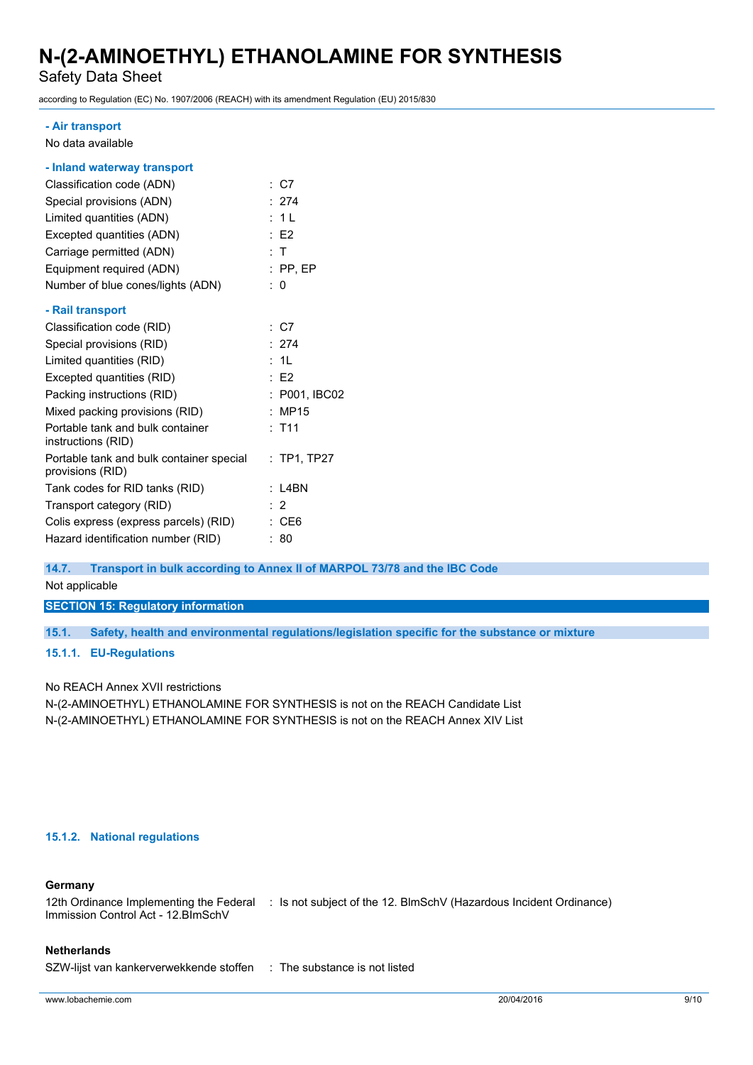Safety Data Sheet

according to Regulation (EC) No. 1907/2006 (REACH) with its amendment Regulation (EU) 2015/830

#### **- Air transport**

No data available

| : C7                                                      |
|-----------------------------------------------------------|
| : 274                                                     |
| : 1L                                                      |
| $E$ F2                                                    |
| : T                                                       |
| $:$ PP, EP                                                |
| : 0                                                       |
|                                                           |
| : C7                                                      |
| : 274                                                     |
| : 1L                                                      |
| E2                                                        |
| : P001, IBC02                                             |
| : MP15                                                    |
| $:$ T11                                                   |
| Portable tank and bulk container special<br>$:$ TP1, TP27 |
| : L4BN                                                    |
| $\cdot$ 2                                                 |
| : C E6                                                    |
| : 80                                                      |
|                                                           |

#### **14.7. Transport in bulk according to Annex II of MARPOL 73/78 and the IBC Code**

Not applicable

**SECTION 15: Regulatory information**

**15.1. Safety, health and environmental regulations/legislation specific for the substance or mixture**

### **15.1.1. EU-Regulations**

No REACH Annex XVII restrictions

N-(2-AMINOETHYL) ETHANOLAMINE FOR SYNTHESIS is not on the REACH Candidate List N-(2-AMINOETHYL) ETHANOLAMINE FOR SYNTHESIS is not on the REACH Annex XIV List

### **15.1.2. National regulations**

#### **Germany**

12th Ordinance Implementing the Federal : Is not subject of the 12. BlmSchV (Hazardous Incident Ordinance) Immission Control Act - 12.BImSchV

#### **Netherlands**

SZW-lijst van kankerverwekkende stoffen : The substance is not listed